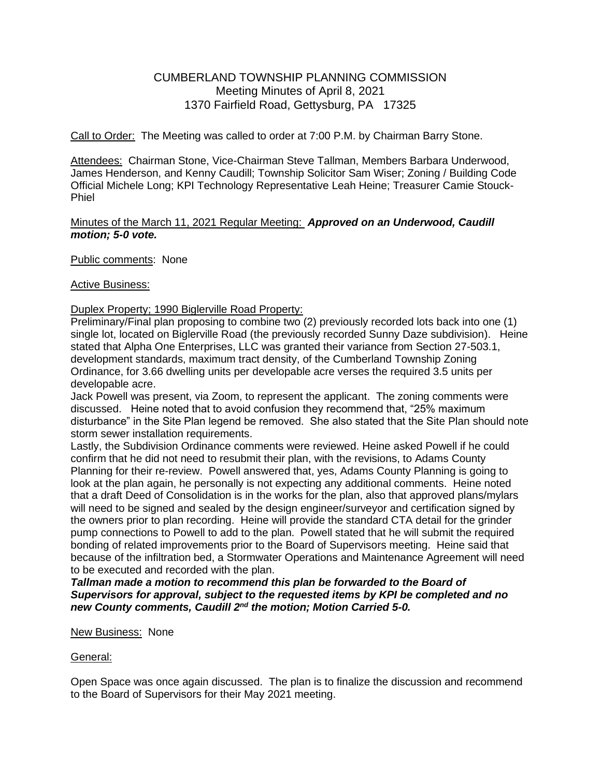## CUMBERLAND TOWNSHIP PLANNING COMMISSION Meeting Minutes of April 8, 2021 1370 Fairfield Road, Gettysburg, PA 17325

Call to Order: The Meeting was called to order at 7:00 P.M. by Chairman Barry Stone.

Attendees: Chairman Stone, Vice-Chairman Steve Tallman, Members Barbara Underwood. James Henderson, and Kenny Caudill; Township Solicitor Sam Wiser; Zoning / Building Code Official Michele Long; KPI Technology Representative Leah Heine; Treasurer Camie Stouck-Phiel

## Minutes of the March 11, 2021 Regular Meeting: *Approved on an Underwood, Caudill motion; 5-0 vote.*

Public comments: None

Active Business:

Duplex Property; 1990 Biglerville Road Property:

Preliminary/Final plan proposing to combine two (2) previously recorded lots back into one (1) single lot, located on Biglerville Road (the previously recorded Sunny Daze subdivision). Heine stated that Alpha One Enterprises, LLC was granted their variance from Section 27-503.1, development standards, maximum tract density, of the Cumberland Township Zoning Ordinance, for 3.66 dwelling units per developable acre verses the required 3.5 units per developable acre.

Jack Powell was present, via Zoom, to represent the applicant. The zoning comments were discussed. Heine noted that to avoid confusion they recommend that, "25% maximum disturbance" in the Site Plan legend be removed. She also stated that the Site Plan should note storm sewer installation requirements.

Lastly, the Subdivision Ordinance comments were reviewed. Heine asked Powell if he could confirm that he did not need to resubmit their plan, with the revisions, to Adams County Planning for their re-review. Powell answered that, yes, Adams County Planning is going to look at the plan again, he personally is not expecting any additional comments. Heine noted that a draft Deed of Consolidation is in the works for the plan, also that approved plans/mylars will need to be signed and sealed by the design engineer/surveyor and certification signed by the owners prior to plan recording. Heine will provide the standard CTA detail for the grinder pump connections to Powell to add to the plan. Powell stated that he will submit the required bonding of related improvements prior to the Board of Supervisors meeting. Heine said that because of the infiltration bed, a Stormwater Operations and Maintenance Agreement will need to be executed and recorded with the plan.

*Tallman made a motion to recommend this plan be forwarded to the Board of Supervisors for approval, subject to the requested items by KPI be completed and no new County comments, Caudill 2nd the motion; Motion Carried 5-0.*

## New Business: None

## General:

Open Space was once again discussed. The plan is to finalize the discussion and recommend to the Board of Supervisors for their May 2021 meeting.